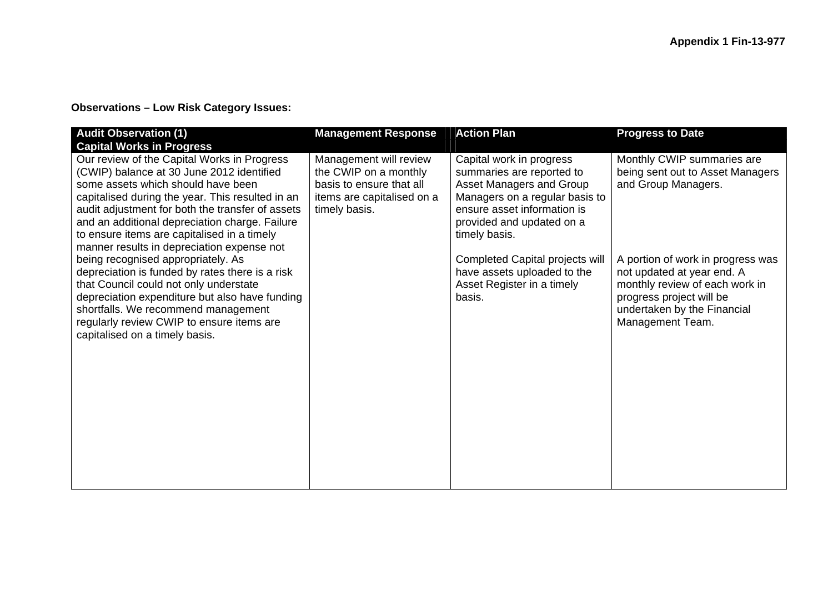## **Observations – Low Risk Category Issues:**

| <b>Audit Observation (1)</b>                                                                                                                                                                                                                                                                                                                                                                                                                                                                                                                                                                                                                                                                                                         | <b>Management Response</b>                                                                                                 | <b>Action Plan</b>                                                                                                                                                                                                                                                                                         | <b>Progress to Date</b>                                                                                                                                                                                                                                                   |
|--------------------------------------------------------------------------------------------------------------------------------------------------------------------------------------------------------------------------------------------------------------------------------------------------------------------------------------------------------------------------------------------------------------------------------------------------------------------------------------------------------------------------------------------------------------------------------------------------------------------------------------------------------------------------------------------------------------------------------------|----------------------------------------------------------------------------------------------------------------------------|------------------------------------------------------------------------------------------------------------------------------------------------------------------------------------------------------------------------------------------------------------------------------------------------------------|---------------------------------------------------------------------------------------------------------------------------------------------------------------------------------------------------------------------------------------------------------------------------|
| <b>Capital Works in Progress</b><br>Our review of the Capital Works in Progress<br>(CWIP) balance at 30 June 2012 identified<br>some assets which should have been<br>capitalised during the year. This resulted in an<br>audit adjustment for both the transfer of assets<br>and an additional depreciation charge. Failure<br>to ensure items are capitalised in a timely<br>manner results in depreciation expense not<br>being recognised appropriately. As<br>depreciation is funded by rates there is a risk<br>that Council could not only understate<br>depreciation expenditure but also have funding<br>shortfalls. We recommend management<br>regularly review CWIP to ensure items are<br>capitalised on a timely basis. | Management will review<br>the CWIP on a monthly<br>basis to ensure that all<br>items are capitalised on a<br>timely basis. | Capital work in progress<br>summaries are reported to<br>Asset Managers and Group<br>Managers on a regular basis to<br>ensure asset information is<br>provided and updated on a<br>timely basis.<br>Completed Capital projects will<br>have assets uploaded to the<br>Asset Register in a timely<br>basis. | Monthly CWIP summaries are<br>being sent out to Asset Managers<br>and Group Managers.<br>A portion of work in progress was<br>not updated at year end. A<br>monthly review of each work in<br>progress project will be<br>undertaken by the Financial<br>Management Team. |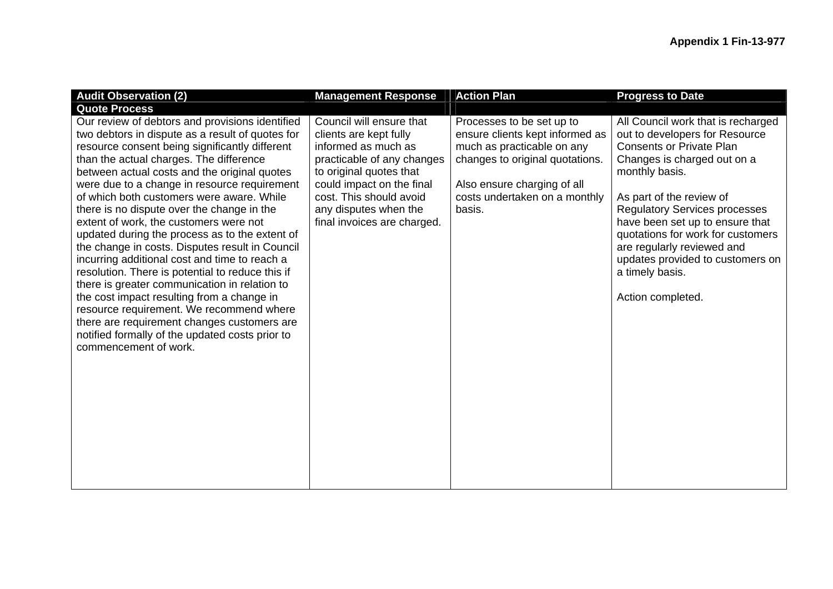| <b>Audit Observation (2)</b>                                                                                                                                                                                                                                                                                                                                                                                                                                                                                                                                                                                                                                                                                                                                                                                                                                                                                          | <b>Management Response</b>                                                                                                                                                                                                                         | <b>Action Plan</b>                                                                                                                                                                                      | <b>Progress to Date</b>                                                                                                                                                                                                                                                                                                                                                                                        |
|-----------------------------------------------------------------------------------------------------------------------------------------------------------------------------------------------------------------------------------------------------------------------------------------------------------------------------------------------------------------------------------------------------------------------------------------------------------------------------------------------------------------------------------------------------------------------------------------------------------------------------------------------------------------------------------------------------------------------------------------------------------------------------------------------------------------------------------------------------------------------------------------------------------------------|----------------------------------------------------------------------------------------------------------------------------------------------------------------------------------------------------------------------------------------------------|---------------------------------------------------------------------------------------------------------------------------------------------------------------------------------------------------------|----------------------------------------------------------------------------------------------------------------------------------------------------------------------------------------------------------------------------------------------------------------------------------------------------------------------------------------------------------------------------------------------------------------|
| <b>Quote Process</b>                                                                                                                                                                                                                                                                                                                                                                                                                                                                                                                                                                                                                                                                                                                                                                                                                                                                                                  |                                                                                                                                                                                                                                                    |                                                                                                                                                                                                         |                                                                                                                                                                                                                                                                                                                                                                                                                |
| Our review of debtors and provisions identified<br>two debtors in dispute as a result of quotes for<br>resource consent being significantly different<br>than the actual charges. The difference<br>between actual costs and the original quotes<br>were due to a change in resource requirement<br>of which both customers were aware. While<br>there is no dispute over the change in the<br>extent of work, the customers were not<br>updated during the process as to the extent of<br>the change in costs. Disputes result in Council<br>incurring additional cost and time to reach a<br>resolution. There is potential to reduce this if<br>there is greater communication in relation to<br>the cost impact resulting from a change in<br>resource requirement. We recommend where<br>there are requirement changes customers are<br>notified formally of the updated costs prior to<br>commencement of work. | Council will ensure that<br>clients are kept fully<br>informed as much as<br>practicable of any changes<br>to original quotes that<br>could impact on the final<br>cost. This should avoid<br>any disputes when the<br>final invoices are charged. | Processes to be set up to<br>ensure clients kept informed as<br>much as practicable on any<br>changes to original quotations.<br>Also ensure charging of all<br>costs undertaken on a monthly<br>basis. | All Council work that is recharged<br>out to developers for Resource<br><b>Consents or Private Plan</b><br>Changes is charged out on a<br>monthly basis.<br>As part of the review of<br><b>Regulatory Services processes</b><br>have been set up to ensure that<br>quotations for work for customers<br>are regularly reviewed and<br>updates provided to customers on<br>a timely basis.<br>Action completed. |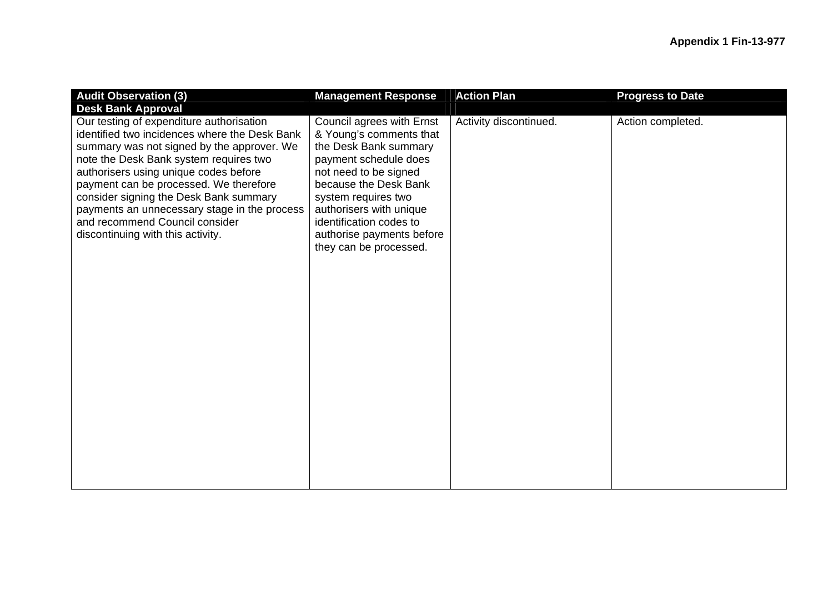| <b>Audit Observation (3)</b><br><b>Desk Bank Approval</b>                                                                                                                                                                                                                                                                                                                                                                             | <b>Management Response</b>                                                                                                                                                                                                                                                                   | <b>Action Plan</b>     | <b>Progress to Date</b> |
|---------------------------------------------------------------------------------------------------------------------------------------------------------------------------------------------------------------------------------------------------------------------------------------------------------------------------------------------------------------------------------------------------------------------------------------|----------------------------------------------------------------------------------------------------------------------------------------------------------------------------------------------------------------------------------------------------------------------------------------------|------------------------|-------------------------|
| Our testing of expenditure authorisation<br>identified two incidences where the Desk Bank<br>summary was not signed by the approver. We<br>note the Desk Bank system requires two<br>authorisers using unique codes before<br>payment can be processed. We therefore<br>consider signing the Desk Bank summary<br>payments an unnecessary stage in the process<br>and recommend Council consider<br>discontinuing with this activity. | Council agrees with Ernst<br>& Young's comments that<br>the Desk Bank summary<br>payment schedule does<br>not need to be signed<br>because the Desk Bank<br>system requires two<br>authorisers with unique<br>identification codes to<br>authorise payments before<br>they can be processed. | Activity discontinued. | Action completed.       |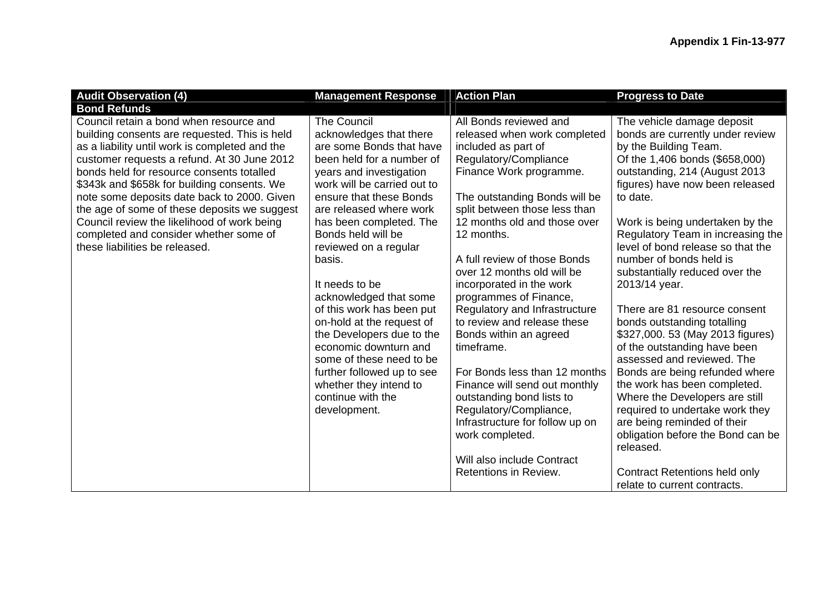| <b>Audit Observation (4)</b>                                                                                                                                                                                                                                                                                                                                                                                                                                                                                    | <b>Management Response</b>                                                                                                                                                                                                                                                                                                                                                                                                                                                                                                                                                                      | <b>Action Plan</b>                                                                                                                                                                                                                                                                                                                                                                                                                                                                                                                                                                                                                                                                                                  | <b>Progress to Date</b>                                                                                                                                                                                                                                                                                                                                                                                                                                                                                                                                                                                                                                                                                                                                                                                                                 |
|-----------------------------------------------------------------------------------------------------------------------------------------------------------------------------------------------------------------------------------------------------------------------------------------------------------------------------------------------------------------------------------------------------------------------------------------------------------------------------------------------------------------|-------------------------------------------------------------------------------------------------------------------------------------------------------------------------------------------------------------------------------------------------------------------------------------------------------------------------------------------------------------------------------------------------------------------------------------------------------------------------------------------------------------------------------------------------------------------------------------------------|---------------------------------------------------------------------------------------------------------------------------------------------------------------------------------------------------------------------------------------------------------------------------------------------------------------------------------------------------------------------------------------------------------------------------------------------------------------------------------------------------------------------------------------------------------------------------------------------------------------------------------------------------------------------------------------------------------------------|-----------------------------------------------------------------------------------------------------------------------------------------------------------------------------------------------------------------------------------------------------------------------------------------------------------------------------------------------------------------------------------------------------------------------------------------------------------------------------------------------------------------------------------------------------------------------------------------------------------------------------------------------------------------------------------------------------------------------------------------------------------------------------------------------------------------------------------------|
| <b>Bond Refunds</b>                                                                                                                                                                                                                                                                                                                                                                                                                                                                                             |                                                                                                                                                                                                                                                                                                                                                                                                                                                                                                                                                                                                 |                                                                                                                                                                                                                                                                                                                                                                                                                                                                                                                                                                                                                                                                                                                     |                                                                                                                                                                                                                                                                                                                                                                                                                                                                                                                                                                                                                                                                                                                                                                                                                                         |
| Council retain a bond when resource and<br>building consents are requested. This is held<br>as a liability until work is completed and the<br>customer requests a refund. At 30 June 2012<br>bonds held for resource consents totalled<br>\$343k and \$658k for building consents. We<br>note some deposits date back to 2000. Given<br>the age of some of these deposits we suggest<br>Council review the likelihood of work being<br>completed and consider whether some of<br>these liabilities be released. | <b>The Council</b><br>acknowledges that there<br>are some Bonds that have<br>been held for a number of<br>years and investigation<br>work will be carried out to<br>ensure that these Bonds<br>are released where work<br>has been completed. The<br>Bonds held will be<br>reviewed on a regular<br>basis.<br>It needs to be<br>acknowledged that some<br>of this work has been put<br>on-hold at the request of<br>the Developers due to the<br>economic downturn and<br>some of these need to be<br>further followed up to see<br>whether they intend to<br>continue with the<br>development. | All Bonds reviewed and<br>released when work completed<br>included as part of<br>Regulatory/Compliance<br>Finance Work programme.<br>The outstanding Bonds will be<br>split between those less than<br>12 months old and those over<br>12 months.<br>A full review of those Bonds<br>over 12 months old will be<br>incorporated in the work<br>programmes of Finance,<br>Regulatory and Infrastructure<br>to review and release these<br>Bonds within an agreed<br>timeframe.<br>For Bonds less than 12 months<br>Finance will send out monthly<br>outstanding bond lists to<br>Regulatory/Compliance,<br>Infrastructure for follow up on<br>work completed.<br>Will also include Contract<br>Retentions in Review. | The vehicle damage deposit<br>bonds are currently under review<br>by the Building Team.<br>Of the 1,406 bonds (\$658,000)<br>outstanding, 214 (August 2013)<br>figures) have now been released<br>to date.<br>Work is being undertaken by the<br>Regulatory Team in increasing the<br>level of bond release so that the<br>number of bonds held is<br>substantially reduced over the<br>2013/14 year.<br>There are 81 resource consent<br>bonds outstanding totalling<br>\$327,000. 53 (May 2013 figures)<br>of the outstanding have been<br>assessed and reviewed. The<br>Bonds are being refunded where<br>the work has been completed.<br>Where the Developers are still<br>required to undertake work they<br>are being reminded of their<br>obligation before the Bond can be<br>released.<br><b>Contract Retentions held only</b> |
|                                                                                                                                                                                                                                                                                                                                                                                                                                                                                                                 |                                                                                                                                                                                                                                                                                                                                                                                                                                                                                                                                                                                                 |                                                                                                                                                                                                                                                                                                                                                                                                                                                                                                                                                                                                                                                                                                                     | relate to current contracts.                                                                                                                                                                                                                                                                                                                                                                                                                                                                                                                                                                                                                                                                                                                                                                                                            |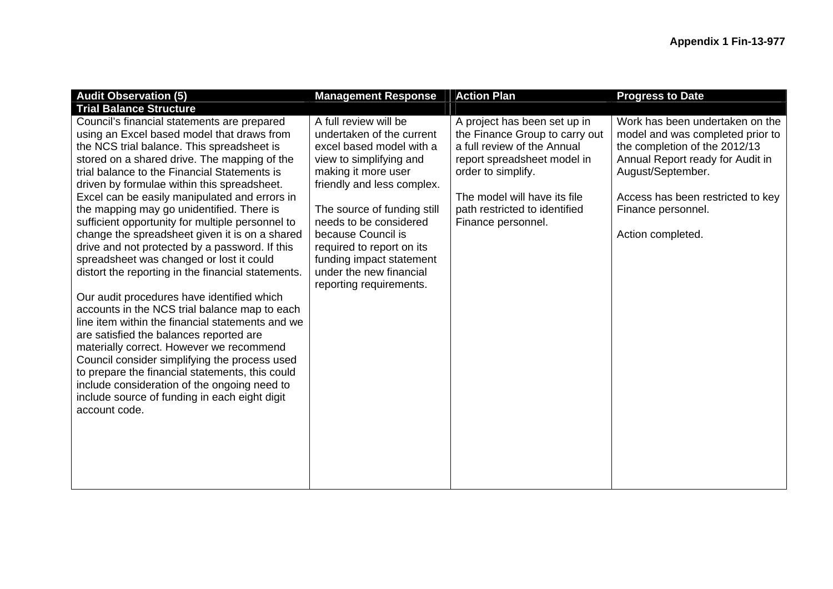| <b>Audit Observation (5)</b>                                                                                                                                                                                                                                                                                                                                                                                                                                                                                                                                                                                                                                                                                                                                                                                                                                                                                                                                                                                                                                                                                   | <b>Management Response</b>                                                                                                                                                                                                                                                                                                                                   | <b>Action Plan</b>                                                                                                                                                                                                                        | <b>Progress to Date</b>                                                                                                                                                                                                                       |
|----------------------------------------------------------------------------------------------------------------------------------------------------------------------------------------------------------------------------------------------------------------------------------------------------------------------------------------------------------------------------------------------------------------------------------------------------------------------------------------------------------------------------------------------------------------------------------------------------------------------------------------------------------------------------------------------------------------------------------------------------------------------------------------------------------------------------------------------------------------------------------------------------------------------------------------------------------------------------------------------------------------------------------------------------------------------------------------------------------------|--------------------------------------------------------------------------------------------------------------------------------------------------------------------------------------------------------------------------------------------------------------------------------------------------------------------------------------------------------------|-------------------------------------------------------------------------------------------------------------------------------------------------------------------------------------------------------------------------------------------|-----------------------------------------------------------------------------------------------------------------------------------------------------------------------------------------------------------------------------------------------|
| <b>Trial Balance Structure</b>                                                                                                                                                                                                                                                                                                                                                                                                                                                                                                                                                                                                                                                                                                                                                                                                                                                                                                                                                                                                                                                                                 |                                                                                                                                                                                                                                                                                                                                                              |                                                                                                                                                                                                                                           |                                                                                                                                                                                                                                               |
| Council's financial statements are prepared<br>using an Excel based model that draws from<br>the NCS trial balance. This spreadsheet is<br>stored on a shared drive. The mapping of the<br>trial balance to the Financial Statements is<br>driven by formulae within this spreadsheet.<br>Excel can be easily manipulated and errors in<br>the mapping may go unidentified. There is<br>sufficient opportunity for multiple personnel to<br>change the spreadsheet given it is on a shared<br>drive and not protected by a password. If this<br>spreadsheet was changed or lost it could<br>distort the reporting in the financial statements.<br>Our audit procedures have identified which<br>accounts in the NCS trial balance map to each<br>line item within the financial statements and we<br>are satisfied the balances reported are<br>materially correct. However we recommend<br>Council consider simplifying the process used<br>to prepare the financial statements, this could<br>include consideration of the ongoing need to<br>include source of funding in each eight digit<br>account code. | A full review will be<br>undertaken of the current<br>excel based model with a<br>view to simplifying and<br>making it more user<br>friendly and less complex.<br>The source of funding still<br>needs to be considered<br>because Council is<br>required to report on its<br>funding impact statement<br>under the new financial<br>reporting requirements. | A project has been set up in<br>the Finance Group to carry out<br>a full review of the Annual<br>report spreadsheet model in<br>order to simplify.<br>The model will have its file<br>path restricted to identified<br>Finance personnel. | Work has been undertaken on the<br>model and was completed prior to<br>the completion of the 2012/13<br>Annual Report ready for Audit in<br>August/September.<br>Access has been restricted to key<br>Finance personnel.<br>Action completed. |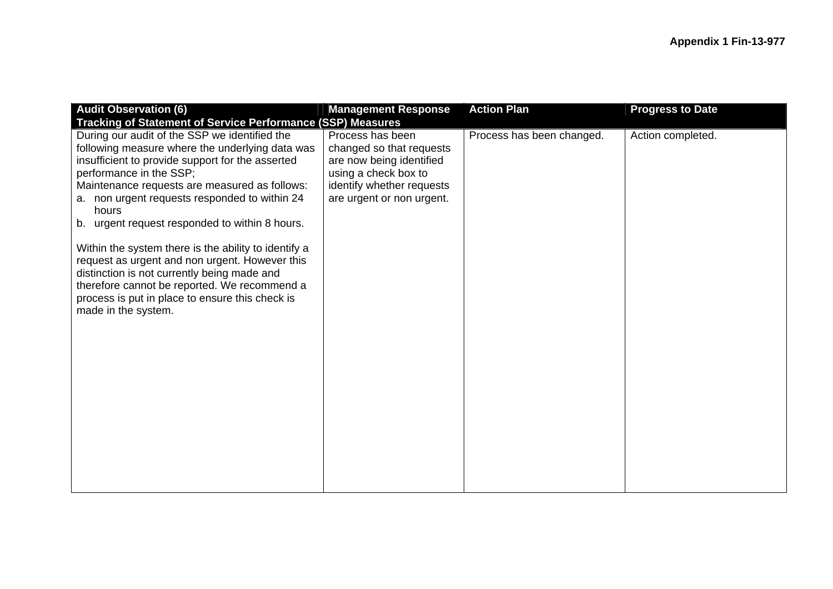| <b>Audit Observation (6)</b>                                                                                                                                                                                                                                                                                                                                                                                                                                                                                                                                                                                                    | <b>Management Response</b>                                                                                                                                 | <b>Action Plan</b>        | <b>Progress to Date</b> |  |  |
|---------------------------------------------------------------------------------------------------------------------------------------------------------------------------------------------------------------------------------------------------------------------------------------------------------------------------------------------------------------------------------------------------------------------------------------------------------------------------------------------------------------------------------------------------------------------------------------------------------------------------------|------------------------------------------------------------------------------------------------------------------------------------------------------------|---------------------------|-------------------------|--|--|
| <b>Tracking of Statement of Service Performance (SSP) Measures</b>                                                                                                                                                                                                                                                                                                                                                                                                                                                                                                                                                              |                                                                                                                                                            |                           |                         |  |  |
| During our audit of the SSP we identified the<br>following measure where the underlying data was<br>insufficient to provide support for the asserted<br>performance in the SSP;<br>Maintenance requests are measured as follows:<br>a. non urgent requests responded to within 24<br>hours<br>b. urgent request responded to within 8 hours.<br>Within the system there is the ability to identify a<br>request as urgent and non urgent. However this<br>distinction is not currently being made and<br>therefore cannot be reported. We recommend a<br>process is put in place to ensure this check is<br>made in the system. | Process has been<br>changed so that requests<br>are now being identified<br>using a check box to<br>identify whether requests<br>are urgent or non urgent. | Process has been changed. | Action completed.       |  |  |